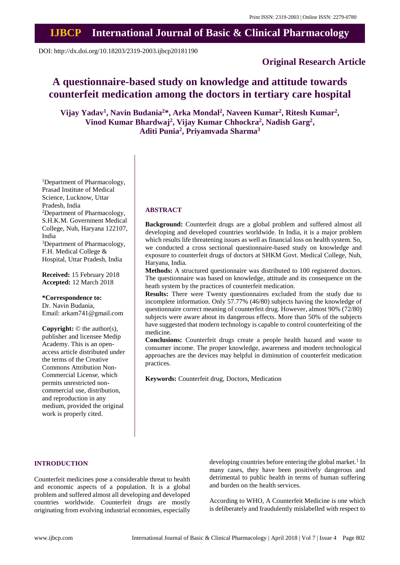# **IJBCP International Journal of Basic & Clinical Pharmacology**

DOI: http://dx.doi.org/10.18203/2319-2003.ijbcp20181190

# **Original Research Article**

# **A questionnaire-based study on knowledge and attitude towards counterfeit medication among the doctors in tertiary care hospital**

**Vijay Yadav<sup>1</sup> , Navin Budania<sup>2</sup>\*, Arka Mondal<sup>2</sup> , Naveen Kumar<sup>2</sup> , Ritesh Kumar<sup>2</sup> , Vinod Kumar Bhardwaj<sup>2</sup> , Vijay Kumar Chhockra<sup>2</sup> , Nadish Garg<sup>2</sup> , Aditi Punia<sup>2</sup> , Priyamvada Sharma<sup>3</sup>**

<sup>1</sup>Department of Pharmacology, Prasad Institute of Medical Science, Lucknow, Uttar Pradesh, India <sup>2</sup>Department of Pharmacology, S.H.K.M. Government Medical College, Nuh, Haryana 122107, India <sup>3</sup>Department of Pharmacology, F.H. Medical College & Hospital, Uttar Pradesh, India

**Received:** 15 February 2018 **Accepted:** 12 March 2018

**\*Correspondence to:** Dr. Navin Budania, Email: arkam741@gmail.com

**Copyright:** © the author(s), publisher and licensee Medip Academy. This is an openaccess article distributed under the terms of the Creative Commons Attribution Non-Commercial License, which permits unrestricted noncommercial use, distribution, and reproduction in any medium, provided the original work is properly cited.

# **ABSTRACT**

**Background:** Counterfeit drugs are a global problem and suffered almost all developing and developed countries worldwide. In India, it is a major problem which results life threatening issues as well as financial loss on health system. So, we conducted a cross sectional questionnaire-based study on knowledge and exposure to counterfeit drugs of doctors at SHKM Govt. Medical College, Nuh, Haryana, India.

**Methods:** A structured questionnaire was distributed to 100 registered doctors. The questionnaire was based on knowledge, attitude and its consequence on the heath system by the practices of counterfeit medication.

**Results:** There were Twenty questionnaires excluded from the study due to incomplete information. Only 57.77% (46/80) subjects having the knowledge of questionnaire correct meaning of counterfeit drug. However, almost 90% (72/80) subjects were aware about its dangerous effects. More than 50% of the subjects have suggested that modern technology is capable to control counterfeiting of the medicine.

**Conclusions:** Counterfeit drugs create a people health hazard and waste to consumer income. The proper knowledge, awareness and modern technological approaches are the devices may helpful in diminution of counterfeit medication practices.

**Keywords:** Counterfeit drug, Doctors, Medication

# **INTRODUCTION**

Counterfeit medicines pose a considerable threat to health and economic aspects of a population. It is a global problem and suffered almost all developing and developed countries worldwide. Counterfeit drugs are mostly originating from evolving industrial economies, especially

developing countries before entering the global market.<sup>1</sup> In many cases, they have been positively dangerous and detrimental to public health in terms of human suffering and burden on the health services.

According to WHO, A Counterfeit Medicine is one which is deliberately and fraudulently mislabelled with respect to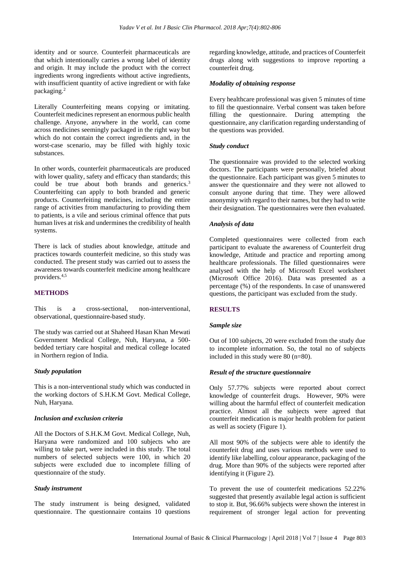identity and or source. Counterfeit pharmaceuticals are that which intentionally carries a wrong label of identity and origin. It may include the product with the correct ingredients wrong ingredients without active ingredients, with insufficient quantity of active ingredient or with fake packaging.<sup>2</sup>

Literally Counterfeiting means copying or imitating. Counterfeit medicines represent an enormous public health challenge. Anyone, anywhere in the world, can come across medicines seemingly packaged in the right way but which do not contain the correct ingredients and, in the worst-case scenario, may be filled with highly toxic substances.

In other words, counterfeit pharmaceuticals are produced with lower quality, safety and efficacy than standards; this could be true about both brands and generics.<sup>3</sup> Counterfeiting can apply to both branded and generic products. Counterfeiting medicines, including the entire range of activities from manufacturing to providing them to patients, is a vile and serious criminal offence that puts human lives at risk and undermines the credibility of health systems.

There is lack of studies about knowledge, attitude and practices towards counterfeit medicine, so this study was conducted. The present study was carried out to assess the awareness towards counterfeit medicine among healthcare providers.4,5

# **METHODS**

This is a cross-sectional, non-interventional, observational, questionnaire-based study.

The study was carried out at Shaheed Hasan Khan Mewati Government Medical College, Nuh, Haryana, a 500 bedded tertiary care hospital and medical college located in Northern region of India.

# *Study population*

This is a non-interventional study which was conducted in the working doctors of S.H.K.M Govt. Medical College, Nuh, Haryana.

# *Inclusion and exclusion criteria*

All the Doctors of S.H.K.M Govt. Medical College, Nuh, Haryana were randomized and 100 subjects who are willing to take part, were included in this study. The total numbers of selected subjects were 100, in which 20 subjects were excluded due to incomplete filling of questionnaire of the study.

# *Study instrument*

The study instrument is being designed, validated questionnaire. The questionnaire contains 10 questions regarding knowledge, attitude, and practices of Counterfeit drugs along with suggestions to improve reporting a counterfeit drug.

# *Modality of obtaining response*

Every healthcare professional was given 5 minutes of time to fill the questionnaire. Verbal consent was taken before filling the questionnaire. During attempting the questionnaire, any clarification regarding understanding of the questions was provided.

# *Study conduct*

The questionnaire was provided to the selected working doctors. The participants were personally, briefed about the questionnaire. Each participant was given 5 minutes to answer the questionnaire and they were not allowed to consult anyone during that time. They were allowed anonymity with regard to their names, but they had to write their designation. The questionnaires were then evaluated.

#### *Analysis of data*

Completed questionnaires were collected from each participant to evaluate the awareness of Counterfeit drug knowledge, Attitude and practice and reporting among healthcare professionals. The filled questionnaires were analysed with the help of Microsoft Excel worksheet (Microsoft Office 2016). Data was presented as a percentage (%) of the respondents. In case of unanswered questions, the participant was excluded from the study.

# **RESULTS**

#### *Sample size*

Out of 100 subjects, 20 were excluded from the study due to incomplete information. So, the total no of subjects included in this study were 80 (n=80).

#### *Result of the structure questionnaire*

Only 57.77% subjects were reported about correct knowledge of counterfeit drugs. However, 90% were willing about the harmful effect of counterfeit medication practice. Almost all the subjects were agreed that counterfeit medication is major health problem for patient as well as society (Figure 1).

All most 90% of the subjects were able to identify the counterfeit drug and uses various methods were used to identify like labelling, colour appearance, packaging of the drug. More than 90% of the subjects were reported after identifying it (Figure 2).

To prevent the use of counterfeit medications 52.22% suggested that presently available legal action is sufficient to stop it. But, 96.66% subjects were shown the interest in requirement of stronger legal action for preventing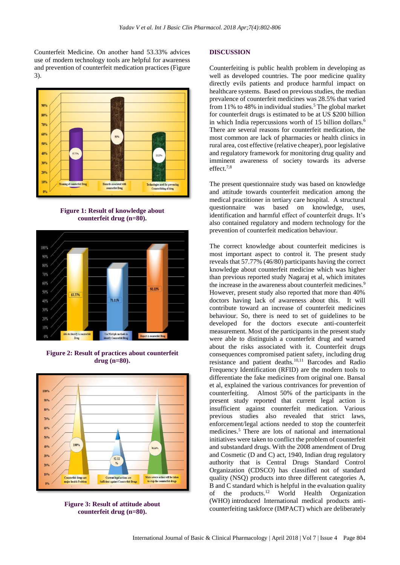Counterfeit Medicine. On another hand 53.33% advices use of modern technology tools are helpful for awareness and prevention of counterfeit medication practices (Figure 3).



**Figure 1: Result of knowledge about counterfeit drug (n=80).**



**Figure 2: Result of practices about counterfeit drug (n=80).**



**Figure 3: Result of attitude about counterfeit drug (n=80).**

#### **DISCUSSION**

Counterfeiting is public health problem in developing as well as developed countries. The poor medicine quality directly evils patients and produce harmful impact on healthcare systems. Based on previous studies, the median prevalence of counterfeit medicines was 28.5% that varied from  $11\%$  to 48% in individual studies.<sup>5</sup> The global market for counterfeit drugs is estimated to be at US \$200 billion in which India repercussions worth of 15 billion dollars.<sup>6</sup> There are several reasons for counterfeit medication, the most common are lack of pharmacies or health clinics in rural area, cost effective (relative cheaper), poor legislative and regulatory framework for monitoring drug quality and imminent awareness of society towards its adverse effect.7,8

The present questionnaire study was based on knowledge and attitude towards counterfeit medication among the medical practitioner in tertiary care hospital. A structural questionnaire was based on knowledge, uses, identification and harmful effect of counterfeit drugs. It's also contained regulatory and modern technology for the prevention of counterfeit medication behaviour.

The correct knowledge about counterfeit medicines is most important aspect to control it. The present study reveals that 57.77% (46/80) participants having the correct knowledge about counterfeit medicine which was higher than previous reported study [Nagaraj](https://www.ncbi.nlm.nih.gov/pubmed/?term=Nagaraj%20A%5BAuthor%5D&cauthor=true&cauthor_uid=25984469) et al, which imitates the increase in the awareness about counterfeit medicines.<sup>9</sup> However, present study also reported that more than 40% doctors having lack of awareness about this. It will contribute toward an increase of counterfeit medicines behaviour. So, there is need to set of guidelines to be developed for the doctors execute anti-counterfeit measurement. Most of the participants in the present study were able to distinguish a counterfeit drug and warned about the risks associated with it. Counterfeit drugs consequences compromised patient safety, including drug resistance and patient deaths.10,11 Barcodes and Radio Frequency Identification (RFID) are the modern tools to differentiate the fake medicines from original one. Bansal et al, explained the various contrivances for prevention of counterfeiting. Almost 50% of the participants in the present study reported that current legal action is insufficient against counterfeit medication. Various previous studies also revealed that strict laws, enforcement/legal actions needed to stop the counterfeit medicines.<sup>5</sup> There are lots of national and international initiatives were taken to conflict the problem of counterfeit and substandard drugs. With the 2008 amendment of Drug and Cosmetic (D and C) act, 1940, Indian drug regulatory authority that is Central Drugs Standard Control Organization (CDSCO) has classified not of standard quality (NSQ) products into three different categories A, B and C standard which is helpful in the evaluation quality of the products.<sup>12</sup> World Health Organization (WHO) introduced International medical products anticounterfeiting taskforce (IMPACT) which are deliberately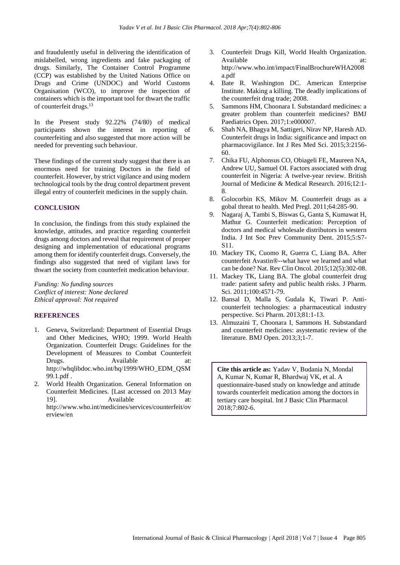and fraudulently useful in delivering the identification of mislabelled, wrong ingredients and fake packaging of drugs. Similarly, The Container Control Programme (CCP) was established by the United Nations Office on Drugs and Crime (UNDOC) and World Customs Organisation (WCO), to improve the inspection of containers which is the important tool for thwart the traffic of counterfeit drugs.<sup>13</sup>

In the Present study 92.22% (74/80) of medical participants shown the interest in reporting of counterfeiting and also suggested that more action will be needed for preventing such behaviour.

These findings of the current study suggest that there is an enormous need for training Doctors in the field of counterfeit. However, by strict vigilance and using modern technological tools by the drug control department prevent illegal entry of counterfeit medicines in the supply chain.

# **CONCLUSION**

In conclusion, the findings from this study explained the knowledge, attitudes, and practice regarding counterfeit drugs among doctors and reveal that requirement of proper designing and implementation of educational programs among them for identify counterfeit drugs. Conversely, the findings also suggested that need of vigilant laws for thwart the society from counterfeit medication behaviour.

*Funding: No funding sources Conflict of interest: None declared Ethical approval: Not required*

# **REFERENCES**

- 1. Geneva, Switzerland: Department of Essential Drugs and Other Medicines, WHO; 1999. World Health Organization. Counterfeit Drugs: Guidelines for the Development of Measures to Combat Counterfeit Drugs. Available at: http://whqlibdoc.who.int/hq/1999/WHO\_EDM\_QSM 99.1.pdf .
- 2. World Health Organization. General Information on Counterfeit Medicines. [Last accessed on 2013 May 19]. Available at: http://www.who.int/medicines/services/counterfeit/ov erview/en
- 3. Counterfeit Drugs Kill, World Health Organization. Available at: http://www.who.int/impact/FinalBrochureWHA2008 a.pdf
- 4. Bate R. Washington DC. American Enterprise Institute. Making a killing. The deadly implications of the counterfeit drug trade; 2008.
- 5. Sammons HM, Choonara I. Substandard medicines: a greater problem than counterfeit medicines? BMJ Paediatrics Open. 2017;1:e000007.
- 6. Shah NA, Bhagya M, Sattigeri, Nirav NP, Haresh AD. Counterfeit drugs in India: significance and impact on pharmacovigilance. Int J Res Med Sci. 2015;3:2156- 60.
- 7. Chika FU, Alphonsus CO, Obiageli FE, Maureen NA, Andrew UU, Samuel OI. Factors associated with drug counterfeit in Nigeria: A twelve-year review. British Journal of Medicine & Medical Research. 2016;12:1- 8.
- 8. Golocorbin KS, Mikov M. Counterfeit drugs as a gobal threat to health. Med Pregl. 2011;64:285-90.
- 9. Nagaraj A, Tambi S, Biswas G, Ganta S, Kumawat H, Mathur G. Counterfeit medication: Perception of doctors and medical wholesale distributors in western India. J Int Soc Prev Community Dent. 2015;5:S7- S11.
- 10. Mackey TK, Cuomo R, Guerra C, Liang BA. After counterfeit Avastin®--what have we learned and what can be done? Nat. Rev Clin Oncol. 2015;12(5):302-08.
- 11. Mackey TK, Liang BA. The global counterfeit drug trade: patient safety and public health risks. J Pharm. Sci. 2011;100:4571-79.
- 12. Bansal D, Malla S, Gudala K, Tiwari P. Anticounterfeit technologies: a pharmaceutical industry perspective. Sci Pharm. 2013;81:1-13.
- 13. Almuzaini T, Choonara I, Sammons H. Substandard and counterfeit medicines: asystematic review of the literature. BMJ Open. 2013;3;1-7.

**Cite this article as:** Yadav V, Budania N, Mondal A, Kumar N, Kumar R, Bhardwaj VK, et al. A questionnaire-based study on knowledge and attitude towards counterfeit medication among the doctors in tertiary care hospital. Int J Basic Clin Pharmacol 2018;7:802-6.